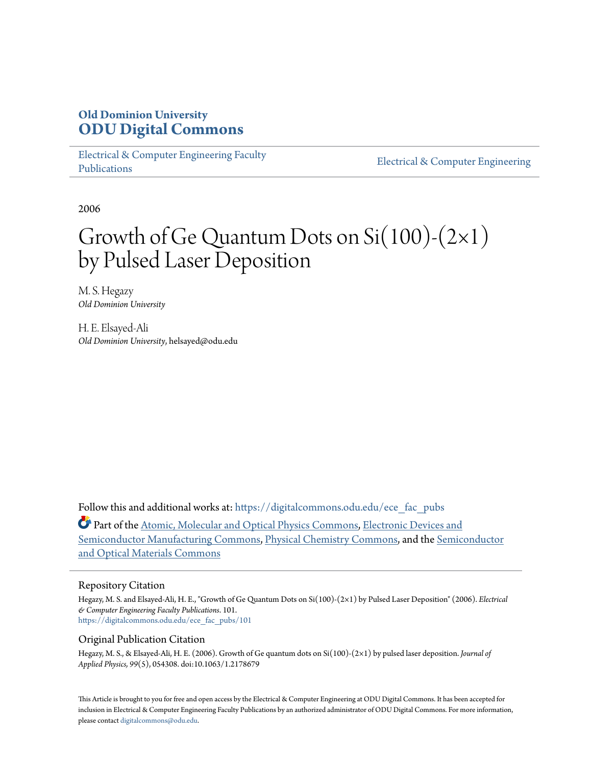## **Old Dominion University [ODU Digital Commons](https://digitalcommons.odu.edu?utm_source=digitalcommons.odu.edu%2Fece_fac_pubs%2F101&utm_medium=PDF&utm_campaign=PDFCoverPages)**

[Electrical & Computer Engineering Faculty](https://digitalcommons.odu.edu/ece_fac_pubs?utm_source=digitalcommons.odu.edu%2Fece_fac_pubs%2F101&utm_medium=PDF&utm_campaign=PDFCoverPages) [Publications](https://digitalcommons.odu.edu/ece_fac_pubs?utm_source=digitalcommons.odu.edu%2Fece_fac_pubs%2F101&utm_medium=PDF&utm_campaign=PDFCoverPages)

[Electrical & Computer Engineering](https://digitalcommons.odu.edu/ece?utm_source=digitalcommons.odu.edu%2Fece_fac_pubs%2F101&utm_medium=PDF&utm_campaign=PDFCoverPages)

2006

# Growth of Ge Quantum Dots on  $Si(100)$ - $(2\times1)$ by Pulsed Laser Deposition

M. S. Hegazy *Old Dominion University*

H. E. Elsayed-Ali *Old Dominion University*, helsayed@odu.edu

Follow this and additional works at: [https://digitalcommons.odu.edu/ece\\_fac\\_pubs](https://digitalcommons.odu.edu/ece_fac_pubs?utm_source=digitalcommons.odu.edu%2Fece_fac_pubs%2F101&utm_medium=PDF&utm_campaign=PDFCoverPages)

Part of the [Atomic, Molecular and Optical Physics Commons,](http://network.bepress.com/hgg/discipline/195?utm_source=digitalcommons.odu.edu%2Fece_fac_pubs%2F101&utm_medium=PDF&utm_campaign=PDFCoverPages) [Electronic Devices and](http://network.bepress.com/hgg/discipline/272?utm_source=digitalcommons.odu.edu%2Fece_fac_pubs%2F101&utm_medium=PDF&utm_campaign=PDFCoverPages) [Semiconductor Manufacturing Commons](http://network.bepress.com/hgg/discipline/272?utm_source=digitalcommons.odu.edu%2Fece_fac_pubs%2F101&utm_medium=PDF&utm_campaign=PDFCoverPages), [Physical Chemistry Commons](http://network.bepress.com/hgg/discipline/139?utm_source=digitalcommons.odu.edu%2Fece_fac_pubs%2F101&utm_medium=PDF&utm_campaign=PDFCoverPages), and the [Semiconductor](http://network.bepress.com/hgg/discipline/290?utm_source=digitalcommons.odu.edu%2Fece_fac_pubs%2F101&utm_medium=PDF&utm_campaign=PDFCoverPages) [and Optical Materials Commons](http://network.bepress.com/hgg/discipline/290?utm_source=digitalcommons.odu.edu%2Fece_fac_pubs%2F101&utm_medium=PDF&utm_campaign=PDFCoverPages)

#### Repository Citation

Hegazy, M. S. and Elsayed-Ali, H. E., "Growth of Ge Quantum Dots on Si(100)-(2×1) by Pulsed Laser Deposition" (2006). *Electrical & Computer Engineering Faculty Publications*. 101. [https://digitalcommons.odu.edu/ece\\_fac\\_pubs/101](https://digitalcommons.odu.edu/ece_fac_pubs/101?utm_source=digitalcommons.odu.edu%2Fece_fac_pubs%2F101&utm_medium=PDF&utm_campaign=PDFCoverPages)

#### Original Publication Citation

Hegazy, M. S., & Elsayed-Ali, H. E. (2006). Growth of Ge quantum dots on Si(100)-(2×1) by pulsed laser deposition. *Journal of Applied Physics, 99*(5), 054308. doi:10.1063/1.2178679

This Article is brought to you for free and open access by the Electrical & Computer Engineering at ODU Digital Commons. It has been accepted for inclusion in Electrical & Computer Engineering Faculty Publications by an authorized administrator of ODU Digital Commons. For more information, please contact [digitalcommons@odu.edu](mailto:digitalcommons@odu.edu).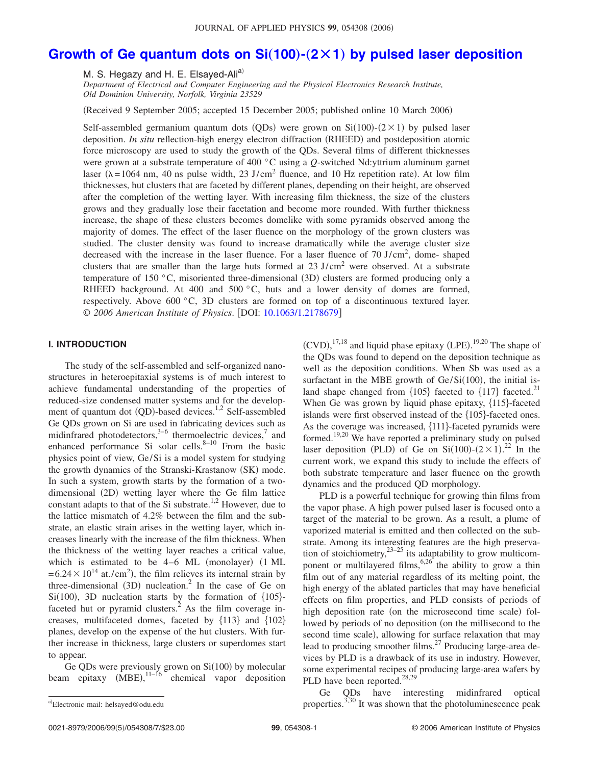### **[Growth of Ge quantum dots on Si](http://dx.doi.org/10.1063/1.2178679)(100)-(2×1) by pulsed laser deposition**

M. S. Hegazy and H. E. Elsaved-Ali<sup>a)</sup>

*Department of Electrical and Computer Engineering and the Physical Electronics Research Institute, Old Dominion University, Norfolk, Virginia 23529*

Received 9 September 2005; accepted 15 December 2005; published online 10 March 2006-

Self-assembled germanium quantum dots (QDs) were grown on  $Si(100)$ - $(2 \times 1)$  by pulsed laser deposition. *In situ* reflection-high energy electron diffraction (RHEED) and postdeposition atomic force microscopy are used to study the growth of the QDs. Several films of different thicknesses were grown at a substrate temperature of 400 °C using a *Q*-switched Nd:yttrium aluminum garnet laser ( $\lambda$ =1064 nm, 40 ns pulse width, 23 J/cm<sup>2</sup> fluence, and 10 Hz repetition rate). At low film thicknesses, hut clusters that are faceted by different planes, depending on their height, are observed after the completion of the wetting layer. With increasing film thickness, the size of the clusters grows and they gradually lose their facetation and become more rounded. With further thickness increase, the shape of these clusters becomes domelike with some pyramids observed among the majority of domes. The effect of the laser fluence on the morphology of the grown clusters was studied. The cluster density was found to increase dramatically while the average cluster size decreased with the increase in the laser fluence. For a laser fluence of 70 J/cm<sup>2</sup>, dome-shaped clusters that are smaller than the large huts formed at  $23 \text{ J/cm}^2$  were observed. At a substrate temperature of 150  $\degree$ C, misoriented three-dimensional (3D) clusters are formed producing only a RHEED background. At 400 and 500 °C, huts and a lower density of domes are formed, respectively. Above 600 °C, 3D clusters are formed on top of a discontinuous textured layer. © 2006 American Institute of Physics. [DOI: [10.1063/1.2178679](http://dx.doi.org/10.1063/1.2178679)]

#### **I. INTRODUCTION**

The study of the self-assembled and self-organized nanostructures in heteroepitaxial systems is of much interest to achieve fundamental understanding of the properties of reduced-size condensed matter systems and for the development of quantum dot (QD)-based devices.<sup>1,2</sup> Self-assembled Ge QDs grown on Si are used in fabricating devices such as midinfrared photodetectors,<sup>3–6</sup> thermoelectric devices,<sup>7</sup> and enhanced performance Si solar cells. $8-10$  From the basic physics point of view, Ge/Si is a model system for studying the growth dynamics of the Stranski-Krastanow (SK) mode. In such a system, growth starts by the formation of a twodimensional (2D) wetting layer where the Ge film lattice constant adapts to that of the Si substrate.<sup>1,2</sup> However, due to the lattice mismatch of 4.2% between the film and the substrate, an elastic strain arises in the wetting layer, which increases linearly with the increase of the film thickness. When the thickness of the wetting layer reaches a critical value, which is estimated to be  $4-6$  ML (monolayer)  $(1 \text{ ML})$  $= 6.24 \times 10^{14}$  at./cm<sup>2</sup>), the film relieves its internal strain by three-dimensional  $(3D)$  nucleation.<sup>2</sup> In the case of Ge on  $Si(100)$ , 3D nucleation starts by the formation of  ${105}$ faceted hut or pyramid clusters.<sup>2</sup> As the film coverage increases, multifaceted domes, faceted by  $\{113\}$  and  $\{102\}$ planes, develop on the expense of the hut clusters. With further increase in thickness, large clusters or superdomes start to appear.

Ge QDs were previously grown on  $Si(100)$  by molecular beam epitaxy  $(MBE)$ ,  $^{11-16}$  chemical vapor deposition

PLD is a powerful technique for growing thin films from the vapor phase. A high power pulsed laser is focused onto a target of the material to be grown. As a result, a plume of vaporized material is emitted and then collected on the substrate. Among its interesting features are the high preservation of stoichiometry,  $2^{3-25}$  its adaptability to grow multicomponent or multilayered films,  $6.26$  the ability to grow a thin film out of any material regardless of its melting point, the high energy of the ablated particles that may have beneficial effects on film properties, and PLD consists of periods of high deposition rate (on the microsecond time scale) followed by periods of no deposition (on the millisecond to the second time scale), allowing for surface relaxation that may lead to producing smoother films.<sup>27</sup> Producing large-area devices by PLD is a drawback of its use in industry. However, some experimental recipes of producing large-area wafers by PLD have been reported.<sup>28,29</sup>

Electronic mail: helsayed@odu.edu

Ge QDs have interesting midinfrared optical properties.  $3,30$  It was shown that the photoluminescence peak

 $(CVD)$ ,  $^{17,18}$  and liquid phase epitaxy (LPE).  $^{19,20}$  The shape of the QDs was found to depend on the deposition technique as well as the deposition conditions. When Sb was used as a surfactant in the MBE growth of  $Ge/Si(100)$ , the initial island shape changed from  ${105}$  faceted to  ${117}$  faceted.<sup>21</sup> When Ge was grown by liquid phase epitaxy,  $\{115\}$ -faceted islands were first observed instead of the  ${105}$ -faceted ones. As the coverage was increased,  $\{111\}$ -faceted pyramids were formed.19,20 We have reported a preliminary study on pulsed laser deposition (PLD) of Ge on Si $(100)-(2\times1).^{22}$  In the current work, we expand this study to include the effects of both substrate temperature and laser fluence on the growth dynamics and the produced QD morphology.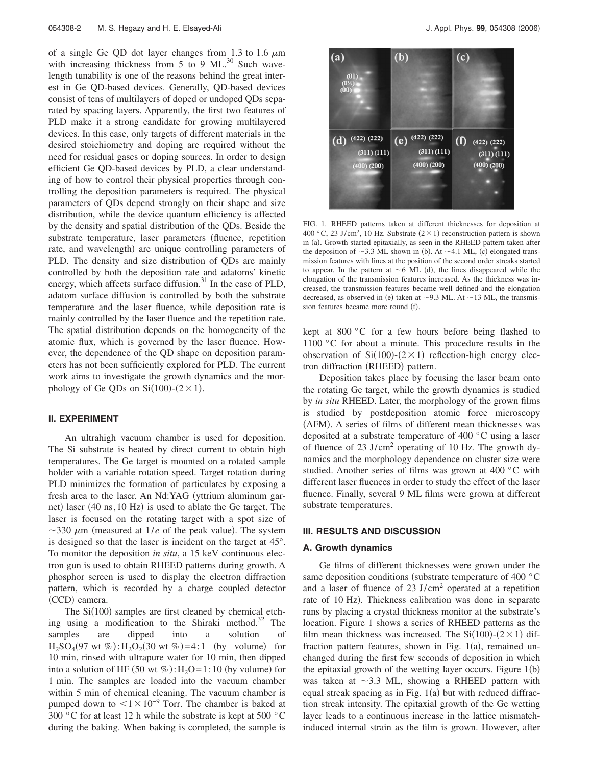of a single Ge QD dot layer changes from 1.3 to 1.6  $\mu$ m with increasing thickness from 5 to 9  $ML<sup>30</sup>$  Such wavelength tunability is one of the reasons behind the great interest in Ge QD-based devices. Generally, QD-based devices consist of tens of multilayers of doped or undoped QDs separated by spacing layers. Apparently, the first two features of PLD make it a strong candidate for growing multilayered devices. In this case, only targets of different materials in the desired stoichiometry and doping are required without the need for residual gases or doping sources. In order to design efficient Ge QD-based devices by PLD, a clear understanding of how to control their physical properties through controlling the deposition parameters is required. The physical parameters of QDs depend strongly on their shape and size distribution, while the device quantum efficiency is affected by the density and spatial distribution of the QDs. Beside the substrate temperature, laser parameters (fluence, repetition rate, and wavelength) are unique controlling parameters of PLD. The density and size distribution of QDs are mainly controlled by both the deposition rate and adatoms' kinetic energy, which affects surface diffusion. $31$  In the case of PLD, adatom surface diffusion is controlled by both the substrate temperature and the laser fluence, while deposition rate is mainly controlled by the laser fluence and the repetition rate. The spatial distribution depends on the homogeneity of the atomic flux, which is governed by the laser fluence. However, the dependence of the QD shape on deposition parameters has not been sufficiently explored for PLD. The current work aims to investigate the growth dynamics and the morphology of Ge QDs on  $Si(100)-(2\times1)$ .

#### **II. EXPERIMENT**

An ultrahigh vacuum chamber is used for deposition. The Si substrate is heated by direct current to obtain high temperatures. The Ge target is mounted on a rotated sample holder with a variable rotation speed. Target rotation during PLD minimizes the formation of particulates by exposing a fresh area to the laser. An Nd:YAG yttrium aluminum garnet) laser (40 ns, 10 Hz) is used to ablate the Ge target. The laser is focused on the rotating target with a spot size of  $\sim$ 330  $\mu$ m (measured at 1/*e* of the peak value). The system is designed so that the laser is incident on the target at 45°. To monitor the deposition *in situ*, a 15 keV continuous electron gun is used to obtain RHEED patterns during growth. A phosphor screen is used to display the electron diffraction pattern, which is recorded by a charge coupled detector (CCD) camera.

The  $Si(100)$  samples are first cleaned by chemical etching using a modification to the Shiraki method.<sup>32</sup> The samples are dipped into a solution of  $H_2SO_4(97 \text{ wt } %) : H_2O_2(30 \text{ wt } %) = 4 :1 \text{ (by volume)} for$ 10 min, rinsed with ultrapure water for 10 min, then dipped into a solution of HF  $(50 \text{ wt } \%)$ : H<sub>2</sub>O=1:10 (by volume) for 1 min. The samples are loaded into the vacuum chamber within 5 min of chemical cleaning. The vacuum chamber is pumped down to  $1 \times 10^{-9}$  Torr. The chamber is baked at 300 °C for at least 12 h while the substrate is kept at 500 °C during the baking. When baking is completed, the sample is



FIG. 1. RHEED patterns taken at different thicknesses for deposition at 400 °C, 23 J/cm<sup>2</sup>, 10 Hz. Substrate  $(2 \times 1)$  reconstruction pattern is shown in (a). Growth started epitaxially, as seen in the RHEED pattern taken after the deposition of  $\sim$ 3.3 ML shown in (b). At  $\sim$ 4.1 ML, (c) elongated transmission features with lines at the position of the second order streaks started to appear. In the pattern at  $\sim$  6 ML (d), the lines disappeared while the elongation of the transmission features increased. As the thickness was increased, the transmission features became well defined and the elongation decreased, as observed in (e) taken at  $\sim$ 9.3 ML. At  $\sim$ 13 ML, the transmission features became more round (f).

kept at 800 °C for a few hours before being flashed to 1100 °C for about a minute. This procedure results in the observation of  $Si(100)-(2\times1)$  reflection-high energy electron diffraction (RHEED) pattern.

Deposition takes place by focusing the laser beam onto the rotating Ge target, while the growth dynamics is studied by *in situ* RHEED. Later, the morphology of the grown films is studied by postdeposition atomic force microscopy (AFM). A series of films of different mean thicknesses was deposited at a substrate temperature of 400 °C using a laser of fluence of 23 J/cm<sup>2</sup> operating of 10 Hz. The growth dynamics and the morphology dependence on cluster size were studied. Another series of films was grown at 400 °C with different laser fluences in order to study the effect of the laser fluence. Finally, several 9 ML films were grown at different substrate temperatures.

#### **III. RESULTS AND DISCUSSION**

#### **A. Growth dynamics**

Ge films of different thicknesses were grown under the same deposition conditions (substrate temperature of 400  $\degree$ C and a laser of fluence of  $23 \text{ J/cm}^2$  operated at a repetition rate of 10 Hz). Thickness calibration was done in separate runs by placing a crystal thickness monitor at the substrate's location. Figure 1 shows a series of RHEED patterns as the film mean thickness was increased. The  $Si(100)-(2\times1)$  diffraction pattern features, shown in Fig.  $1(a)$ , remained unchanged during the first few seconds of deposition in which the epitaxial growth of the wetting layer occurs. Figure  $1(b)$ was taken at  $\sim$ 3.3 ML, showing a RHEED pattern with equal streak spacing as in Fig.  $1(a)$  but with reduced diffraction streak intensity. The epitaxial growth of the Ge wetting layer leads to a continuous increase in the lattice mismatchinduced internal strain as the film is grown. However, after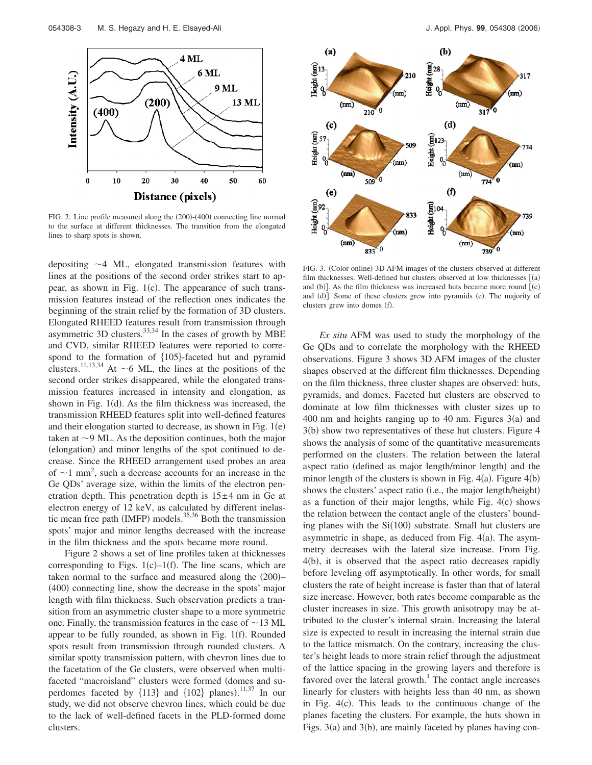

FIG. 2. Line profile measured along the (200)-(400) connecting line normal to the surface at different thicknesses. The transition from the elongated lines to sharp spots is shown.

depositing  $\sim$  4 ML, elongated transmission features with lines at the positions of the second order strikes start to appear, as shown in Fig. 1(c). The appearance of such transmission features instead of the reflection ones indicates the beginning of the strain relief by the formation of 3D clusters. Elongated RHEED features result from transmission through asymmetric 3D clusters.<sup>33,34</sup> In the cases of growth by MBE and CVD, similar RHEED features were reported to correspond to the formation of  ${105}$ -faceted hut and pyramid clusters.<sup>11,13,34</sup> At  $\sim$  6 ML, the lines at the positions of the second order strikes disappeared, while the elongated transmission features increased in intensity and elongation, as shown in Fig.  $1(d)$ . As the film thickness was increased, the transmission RHEED features split into well-defined features and their elongation started to decrease, as shown in Fig.  $1(e)$ taken at  $\sim$ 9 ML. As the deposition continues, both the major (elongation) and minor lengths of the spot continued to decrease. Since the RHEED arrangement used probes an area of  $\sim$ 1 mm<sup>2</sup>, such a decrease accounts for an increase in the Ge QDs' average size, within the limits of the electron penetration depth. This penetration depth is  $15±4$  nm in Ge at electron energy of 12 keV, as calculated by different inelastic mean free path (IMFP) models.<sup>35,36</sup> Both the transmission spots' major and minor lengths decreased with the increase in the film thickness and the spots became more round.

Figure 2 shows a set of line profiles taken at thicknesses corresponding to Figs.  $1(c) - 1(f)$ . The line scans, which are taken normal to the surface and measured along the (200)-(400) connecting line, show the decrease in the spots' major length with film thickness. Such observation predicts a transition from an asymmetric cluster shape to a more symmetric one. Finally, the transmission features in the case of  $\sim$  13 ML appear to be fully rounded, as shown in Fig. 1(f). Rounded spots result from transmission through rounded clusters. A similar spotty transmission pattern, with chevron lines due to the facetation of the Ge clusters, were observed when multifaceted "macroisland" clusters were formed (domes and superdomes faceted by  $\{113\}$  and  $\{102\}$  planes).<sup>11,37</sup> In our study, we did not observe chevron lines, which could be due to the lack of well-defined facets in the PLD-formed dome clusters.



FIG. 3. (Color online) 3D AFM images of the clusters observed at different film thicknesses. Well-defined hut clusters observed at low thicknesses  $[$  (a) and  $(b)$ ]. As the film thickness was increased huts became more round  $(c)$ and (d)]. Some of these clusters grew into pyramids (e). The majority of clusters grew into domes (f).

*Ex situ* AFM was used to study the morphology of the Ge QDs and to correlate the morphology with the RHEED observations. Figure 3 shows 3D AFM images of the cluster shapes observed at the different film thicknesses. Depending on the film thickness, three cluster shapes are observed: huts, pyramids, and domes. Faceted hut clusters are observed to dominate at low film thicknesses with cluster sizes up to 400 nm and heights ranging up to 40 nm. Figures  $3(a)$  and 3(b) show two representatives of these hut clusters. Figure 4 shows the analysis of some of the quantitative measurements performed on the clusters. The relation between the lateral aspect ratio (defined as major length/minor length) and the minor length of the clusters is shown in Fig.  $4(a)$ . Figure  $4(b)$ shows the clusters' aspect ratio (i.e., the major length/height) as a function of their major lengths, while Fig.  $4(c)$  shows the relation between the contact angle of the clusters' bounding planes with the Si(100) substrate. Small hut clusters are asymmetric in shape, as deduced from Fig.  $4(a)$ . The asymmetry decreases with the lateral size increase. From Fig. 4(b), it is observed that the aspect ratio decreases rapidly before leveling off asymptotically. In other words, for small clusters the rate of height increase is faster than that of lateral size increase. However, both rates become comparable as the cluster increases in size. This growth anisotropy may be attributed to the cluster's internal strain. Increasing the lateral size is expected to result in increasing the internal strain due to the lattice mismatch. On the contrary, increasing the cluster's height leads to more strain relief through the adjustment of the lattice spacing in the growing layers and therefore is favored over the lateral growth.<sup>1</sup> The contact angle increases linearly for clusters with heights less than 40 nm, as shown in Fig.  $4(c)$ . This leads to the continuous change of the planes faceting the clusters. For example, the huts shown in Figs. 3(a) and 3(b), are mainly faceted by planes having con-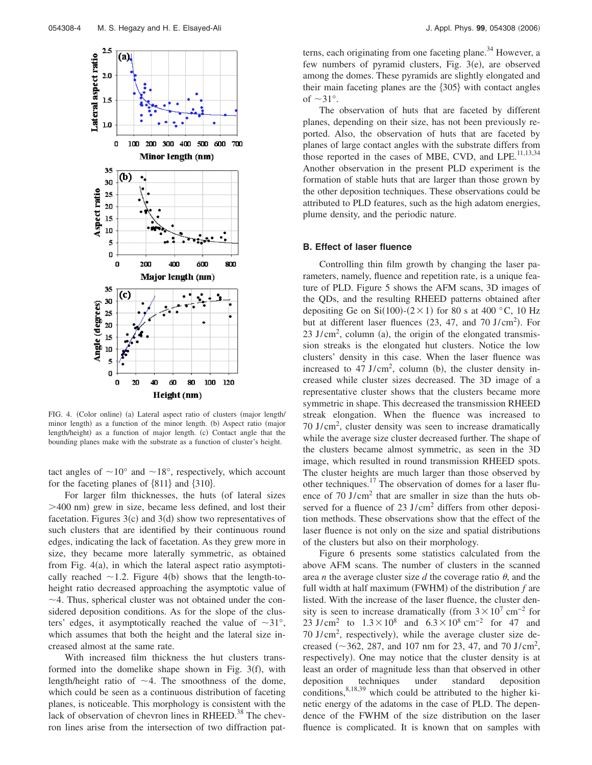

FIG. 4. (Color online) (a) Lateral aspect ratio of clusters (major length/ minor length) as a function of the minor length. (b) Aspect ratio (major length/height) as a function of major length. (c) Contact angle that the bounding planes make with the substrate as a function of cluster's height.

tact angles of  $\sim 10^{\circ}$  and  $\sim 18^{\circ}$ , respectively, which account for the faceting planes of  $\{811\}$  and  $\{310\}$ .

For larger film thicknesses, the huts (of lateral sizes >400 nm) grew in size, became less defined, and lost their facetation. Figures  $3(c)$  and  $3(d)$  show two representatives of such clusters that are identified by their continuous round edges, indicating the lack of facetation. As they grew more in size, they became more laterally symmetric, as obtained from Fig. 4(a), in which the lateral aspect ratio asymptotically reached  $\sim$  1.2. Figure 4(b) shows that the length-toheight ratio decreased approaching the asymptotic value of  $\sim$  4. Thus, spherical cluster was not obtained under the considered deposition conditions. As for the slope of the clusters' edges, it asymptotically reached the value of  $\sim 31^{\circ}$ , which assumes that both the height and the lateral size increased almost at the same rate.

With increased film thickness the hut clusters transformed into the domelike shape shown in Fig.  $3(f)$ , with length/height ratio of  $\sim$  4. The smoothness of the dome, which could be seen as a continuous distribution of faceting planes, is noticeable. This morphology is consistent with the lack of observation of chevron lines in RHEED.<sup>38</sup> The chevron lines arise from the intersection of two diffraction patterns, each originating from one faceting plane. $34$  However, a few numbers of pyramid clusters, Fig.  $3(e)$ , are observed among the domes. These pyramids are slightly elongated and their main faceting planes are the  ${305}$  with contact angles of  $\sim$ 31°.

The observation of huts that are faceted by different planes, depending on their size, has not been previously reported. Also, the observation of huts that are faceted by planes of large contact angles with the substrate differs from those reported in the cases of MBE, CVD, and LPE. $^{11,13,34}$ Another observation in the present PLD experiment is the formation of stable huts that are larger than those grown by the other deposition techniques. These observations could be attributed to PLD features, such as the high adatom energies, plume density, and the periodic nature.

#### **B. Effect of laser fluence**

Controlling thin film growth by changing the laser parameters, namely, fluence and repetition rate, is a unique feature of PLD. Figure 5 shows the AFM scans, 3D images of the QDs, and the resulting RHEED patterns obtained after depositing Ge on Si(100)-( $2 \times 1$ ) for 80 s at 400 °C, 10 Hz but at different laser fluences  $(23, 47,$  and  $70 \text{ J/cm}^2$ ). For  $23 \text{ J/cm}^2$ , column (a), the origin of the elongated transmission streaks is the elongated hut clusters. Notice the low clusters' density in this case. When the laser fluence was increased to  $47 \text{ J/cm}^2$ , column (b), the cluster density increased while cluster sizes decreased. The 3D image of a representative cluster shows that the clusters became more symmetric in shape. This decreased the transmission RHEED streak elongation. When the fluence was increased to 70 J/cm2 , cluster density was seen to increase dramatically while the average size cluster decreased further. The shape of the clusters became almost symmetric, as seen in the 3D image, which resulted in round transmission RHEED spots. The cluster heights are much larger than those observed by other techniques.17 The observation of domes for a laser fluence of 70 J/cm<sup>2</sup> that are smaller in size than the huts observed for a fluence of 23  $J/cm<sup>2</sup>$  differs from other deposition methods. These observations show that the effect of the laser fluence is not only on the size and spatial distributions of the clusters but also on their morphology.

Figure 6 presents some statistics calculated from the above AFM scans. The number of clusters in the scanned area *n* the average cluster size *d* the coverage ratio  $\theta$ , and the full width at half maximum (FWHM) of the distribution  $f$  are listed. With the increase of the laser fluence, the cluster density is seen to increase dramatically (from  $3 \times 10^7$  cm<sup>-2</sup> for 23 J/cm<sup>2</sup> to  $1.3 \times 10^8$  and  $6.3 \times 10^8$  cm<sup>-2</sup> for 47 and  $70 \text{ J/cm}^2$ , respectively), while the average cluster size decreased ( $\sim$ 362, 287, and 107 nm for 23, 47, and 70 J/cm<sup>2</sup>, respectively). One may notice that the cluster density is at least an order of magnitude less than that observed in other deposition techniques under standard deposition conditions,  $8,18,39$  which could be attributed to the higher kinetic energy of the adatoms in the case of PLD. The dependence of the FWHM of the size distribution on the laser fluence is complicated. It is known that on samples with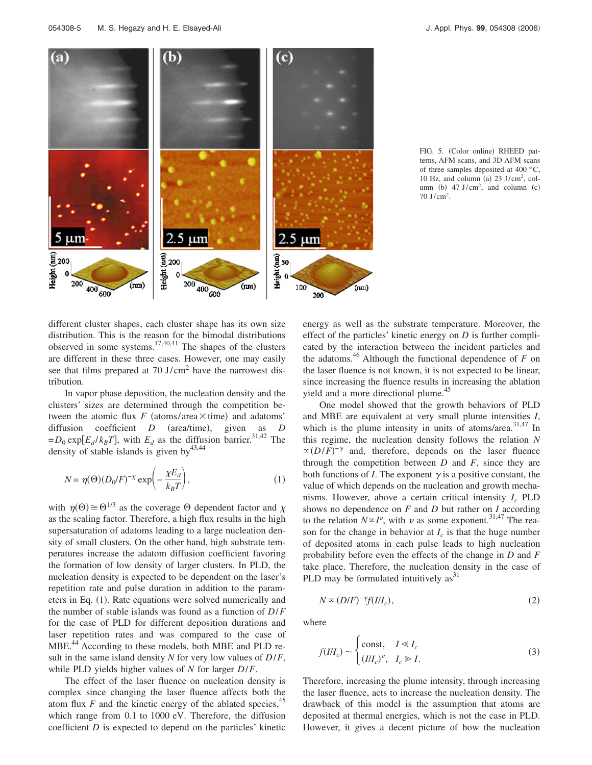

FIG. 5. (Color online) RHEED patterns, AFM scans, and 3D AFM scans of three samples deposited at 400  $^{\circ}$ C, 10 Hz, and column (a)  $23 \text{ J/cm}^2$ , column (b)  $47 \text{ J/cm}^2$ , and column (c) 70 J/cm2 .

different cluster shapes, each cluster shape has its own size distribution. This is the reason for the bimodal distributions observed in some systems.17,40,41 The shapes of the clusters are different in these three cases. However, one may easily see that films prepared at 70 J/cm<sup>2</sup> have the narrowest distribution.

In vapor phase deposition, the nucleation density and the clusters' sizes are determined through the competition between the atomic flux  $F$  (atoms/area $\times$ time) and adatoms' diffusion coefficient *D* (area/time), , given as *D*  $= D_0 \exp[E_d / k_B T]$ , with  $E_d$  as the diffusion barrier.<sup>31,42</sup> The density of stable islands is given by  $43,44$ 

$$
N = \eta(\Theta)(D_0/F)^{-\chi} \exp\left(-\frac{\chi E_d}{k_B T}\right),\tag{1}
$$

with  $\eta(\Theta) \cong \Theta^{1/3}$  as the coverage  $\Theta$  dependent factor and  $\chi$ as the scaling factor. Therefore, a high flux results in the high supersaturation of adatoms leading to a large nucleation density of small clusters. On the other hand, high substrate temperatures increase the adatom diffusion coefficient favoring the formation of low density of larger clusters. In PLD, the nucleation density is expected to be dependent on the laser's repetition rate and pulse duration in addition to the parameters in Eq. (1). Rate equations were solved numerically and the number of stable islands was found as a function of *D*/*F* for the case of PLD for different deposition durations and laser repetition rates and was compared to the case of MBE.<sup>44</sup> According to these models, both MBE and PLD result in the same island density *N* for very low values of *D*/*F*, while PLD yields higher values of *N* for larger *D*/*F*.

The effect of the laser fluence on nucleation density is complex since changing the laser fluence affects both the atom flux  $F$  and the kinetic energy of the ablated species,<sup>45</sup> which range from 0.1 to 1000 eV. Therefore, the diffusion coefficient *D* is expected to depend on the particles' kinetic energy as well as the substrate temperature. Moreover, the effect of the particles' kinetic energy on *D* is further complicated by the interaction between the incident particles and the adatoms.<sup>46</sup> Although the functional dependence of  $F$  on the laser fluence is not known, it is not expected to be linear, since increasing the fluence results in increasing the ablation yield and a more directional plume.<sup>45</sup>

One model showed that the growth behaviors of PLD and MBE are equivalent at very small plume intensities *I*, which is the plume intensity in units of atoms/area.<sup>31,47</sup> In this regime, the nucleation density follows the relation *N*  $\propto (D/F)^{-\gamma}$  and, therefore, depends on the laser fluence through the competition between *D* and *F*, since they are both functions of *I*. The exponent  $\gamma$  is a positive constant, the value of which depends on the nucleation and growth mechanisms. However, above a certain critical intensity  $I_c$  PLD shows no dependence on *F* and *D* but rather on *I* according to the relation  $N \propto I^{\nu}$ , with  $\nu$  as some exponent.<sup>31,47</sup> The reason for the change in behavior at  $I_c$  is that the huge number of deposited atoms in each pulse leads to high nucleation probability before even the effects of the change in *D* and *F* take place. Therefore, the nucleation density in the case of PLD may be formulated intuitively  $as<sup>31</sup>$ 

$$
N \propto (D/F)^{-\gamma} f(III_c),\tag{2}
$$

where

$$
f(III_c) \sim \begin{cases} \text{const}, & I \ll I_c \\ (III_c)^{\nu}, & I_c \gg I. \end{cases} \tag{3}
$$

Therefore, increasing the plume intensity, through increasing the laser fluence, acts to increase the nucleation density. The drawback of this model is the assumption that atoms are deposited at thermal energies, which is not the case in PLD. However, it gives a decent picture of how the nucleation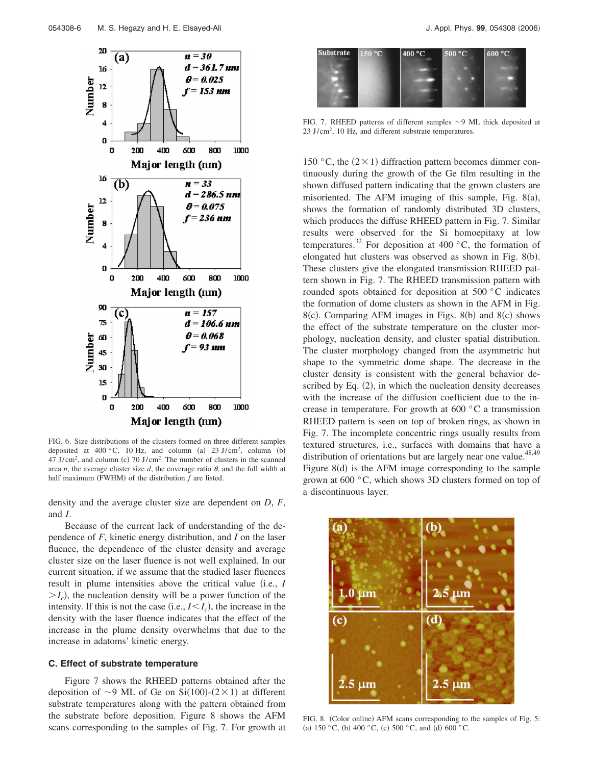

FIG. 6. Size distributions of the clusters formed on three different samples deposited at  $400\degree$ C, 10 Hz, and column (a) 23 J/cm<sup>2</sup>, column (b)  $47 \text{ J/cm}^2$ , and column (c)  $70 \text{ J/cm}^2$ . The number of clusters in the scanned area *n*, the average cluster size *d*, the coverage ratio  $\theta$ , and the full width at half maximum (FWHM) of the distribution  $f$  are listed.

density and the average cluster size are dependent on *D*, *F*, and *I*.

Because of the current lack of understanding of the dependence of *F*, kinetic energy distribution, and *I* on the laser fluence, the dependence of the cluster density and average cluster size on the laser fluence is not well explained. In our current situation, if we assume that the studied laser fluences result in plume intensities above the critical value (i.e., *I*  $> I_c$ ), the nucleation density will be a power function of the intensity. If this is not the case (i.e.,  $I \leq I_c$ ), the increase in the density with the laser fluence indicates that the effect of the increase in the plume density overwhelms that due to the increase in adatoms' kinetic energy.

#### **C. Effect of substrate temperature**

Figure 7 shows the RHEED patterns obtained after the deposition of  $\sim$ 9 ML of Ge on Si(100)-(2×1) at different substrate temperatures along with the pattern obtained from the substrate before deposition. Figure 8 shows the AFM scans corresponding to the samples of Fig. 7. For growth at



FIG. 7. RHEED patterns of different samples  $\sim$ 9 ML thick deposited at 23 J/cm<sup>2</sup>, 10 Hz, and different substrate temperatures.

150 °C, the  $(2 \times 1)$  diffraction pattern becomes dimmer continuously during the growth of the Ge film resulting in the shown diffused pattern indicating that the grown clusters are misoriented. The AFM imaging of this sample, Fig.  $8(a)$ , shows the formation of randomly distributed 3D clusters, which produces the diffuse RHEED pattern in Fig. 7. Similar results were observed for the Si homoepitaxy at low temperatures.<sup>32</sup> For deposition at 400  $^{\circ}$ C, the formation of elongated hut clusters was observed as shown in Fig. 8(b). These clusters give the elongated transmission RHEED pattern shown in Fig. 7. The RHEED transmission pattern with rounded spots obtained for deposition at 500 °C indicates the formation of dome clusters as shown in the AFM in Fig. 8(c). Comparing AFM images in Figs. 8(b) and 8(c) shows the effect of the substrate temperature on the cluster morphology, nucleation density, and cluster spatial distribution. The cluster morphology changed from the asymmetric hut shape to the symmetric dome shape. The decrease in the cluster density is consistent with the general behavior described by Eq. (2), in which the nucleation density decreases with the increase of the diffusion coefficient due to the increase in temperature. For growth at 600 °C a transmission RHEED pattern is seen on top of broken rings, as shown in Fig. 7. The incomplete concentric rings usually results from textured structures, i.e., surfaces with domains that have a distribution of orientations but are largely near one value.<sup>48,49</sup> Figure  $8(d)$  is the AFM image corresponding to the sample grown at 600 °C, which shows 3D clusters formed on top of a discontinuous layer.



FIG. 8. (Color online) AFM scans corresponding to the samples of Fig. 5: (a)  $150 °C$ , (b)  $400 °C$ , (c)  $500 °C$ , and (d)  $600 °C$ .